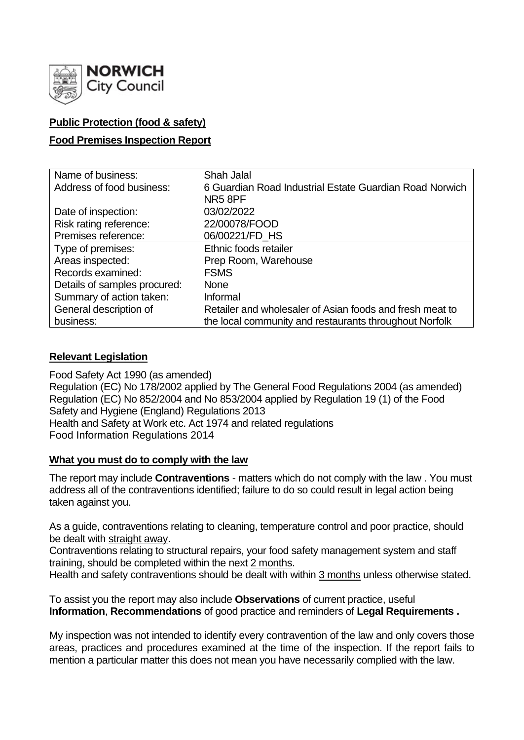

## **Public Protection (food & safety)**

## **Food Premises Inspection Report**

| Name of business:            | <b>Shah Jalal</b>                                        |  |  |  |  |  |
|------------------------------|----------------------------------------------------------|--|--|--|--|--|
| Address of food business:    | 6 Guardian Road Industrial Estate Guardian Road Norwich  |  |  |  |  |  |
|                              | NR58PF                                                   |  |  |  |  |  |
| Date of inspection:          | 03/02/2022                                               |  |  |  |  |  |
| Risk rating reference:       | 22/00078/FOOD                                            |  |  |  |  |  |
| Premises reference:          | 06/00221/FD_HS                                           |  |  |  |  |  |
| Type of premises:            | Ethnic foods retailer                                    |  |  |  |  |  |
| Areas inspected:             | Prep Room, Warehouse                                     |  |  |  |  |  |
| Records examined:            | <b>FSMS</b>                                              |  |  |  |  |  |
| Details of samples procured: | <b>None</b>                                              |  |  |  |  |  |
| Summary of action taken:     | Informal                                                 |  |  |  |  |  |
| General description of       | Retailer and wholesaler of Asian foods and fresh meat to |  |  |  |  |  |
| business:                    | the local community and restaurants throughout Norfolk   |  |  |  |  |  |

## **Relevant Legislation**

Food Safety Act 1990 (as amended) Regulation (EC) No 178/2002 applied by The General Food Regulations 2004 (as amended) Regulation (EC) No 852/2004 and No 853/2004 applied by Regulation 19 (1) of the Food Safety and Hygiene (England) Regulations 2013 Health and Safety at Work etc. Act 1974 and related regulations Food Information Regulations 2014

## **What you must do to comply with the law**

The report may include **Contraventions** - matters which do not comply with the law . You must address all of the contraventions identified; failure to do so could result in legal action being taken against you.

As a guide, contraventions relating to cleaning, temperature control and poor practice, should be dealt with straight away.

Contraventions relating to structural repairs, your food safety management system and staff training, should be completed within the next 2 months.

Health and safety contraventions should be dealt with within 3 months unless otherwise stated.

To assist you the report may also include **Observations** of current practice, useful **Information**, **Recommendations** of good practice and reminders of **Legal Requirements .**

My inspection was not intended to identify every contravention of the law and only covers those areas, practices and procedures examined at the time of the inspection. If the report fails to mention a particular matter this does not mean you have necessarily complied with the law.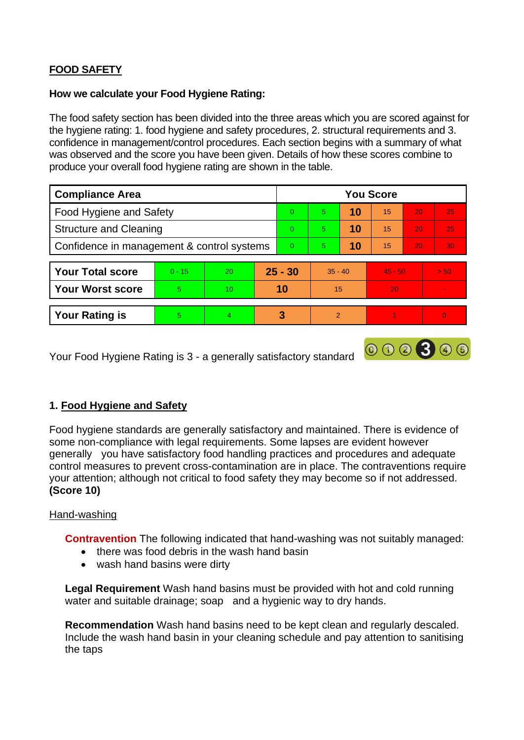# **FOOD SAFETY**

### **How we calculate your Food Hygiene Rating:**

The food safety section has been divided into the three areas which you are scored against for the hygiene rating: 1. food hygiene and safety procedures, 2. structural requirements and 3. confidence in management/control procedures. Each section begins with a summary of what was observed and the score you have been given. Details of how these scores combine to produce your overall food hygiene rating are shown in the table.

| <b>Compliance Area</b>                     |          |                 |           | <b>You Score</b> |                |    |           |    |                 |  |
|--------------------------------------------|----------|-----------------|-----------|------------------|----------------|----|-----------|----|-----------------|--|
| Food Hygiene and Safety                    |          |                 |           | $\Omega$         | $\overline{5}$ | 10 | 15        | 20 | 25              |  |
| <b>Structure and Cleaning</b>              |          |                 |           | $\Omega$         | 5              | 10 | 15        | 20 | 25              |  |
| Confidence in management & control systems |          |                 |           | $\overline{0}$   | 5.             | 10 | 15        | 20 | 30 <sub>1</sub> |  |
|                                            |          |                 |           |                  |                |    |           |    |                 |  |
| <b>Your Total score</b>                    | $0 - 15$ | 20              | $25 - 30$ |                  | $35 - 40$      |    | $45 - 50$ |    | > 50            |  |
| <b>Your Worst score</b>                    | 5        | 10 <sup>2</sup> | 10        |                  | 15             |    | 20        |    |                 |  |
|                                            |          |                 |           |                  |                |    |           |    |                 |  |
| <b>Your Rating is</b>                      | 5        | 4               |           | 3                | $\mathcal{P}$  |    |           |    | $\overline{0}$  |  |

000300

Your Food Hygiene Rating is 3 - a generally satisfactory standard

## **1. Food Hygiene and Safety**

Food hygiene standards are generally satisfactory and maintained. There is evidence of some non-compliance with legal requirements. Some lapses are evident however generally you have satisfactory food handling practices and procedures and adequate control measures to prevent cross-contamination are in place. The contraventions require your attention; although not critical to food safety they may become so if not addressed. **(Score 10)**

## Hand-washing

**Contravention** The following indicated that hand-washing was not suitably managed:

- there was food debris in the wash hand basin
- wash hand basins were dirty

**Legal Requirement** Wash hand basins must be provided with hot and cold running water and suitable drainage; soap and a hygienic way to dry hands.

**Recommendation** Wash hand basins need to be kept clean and regularly descaled. Include the wash hand basin in your cleaning schedule and pay attention to sanitising the taps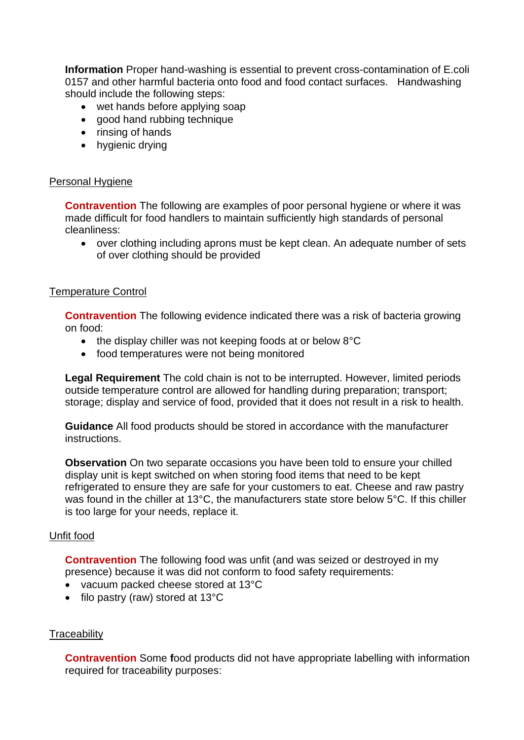**Information** Proper hand-washing is essential to prevent cross-contamination of E.coli 0157 and other harmful bacteria onto food and food contact surfaces. Handwashing should include the following steps:

- wet hands before applying soap
- good hand rubbing technique
- rinsing of hands
- hygienic drying

#### Personal Hygiene

**Contravention** The following are examples of poor personal hygiene or where it was made difficult for food handlers to maintain sufficiently high standards of personal cleanliness:

• over clothing including aprons must be kept clean. An adequate number of sets of over clothing should be provided

### Temperature Control

**Contravention** The following evidence indicated there was a risk of bacteria growing on food:

- the display chiller was not keeping foods at or below 8°C
- food temperatures were not being monitored

**Legal Requirement** The cold chain is not to be interrupted. However, limited periods outside temperature control are allowed for handling during preparation; transport; storage; display and service of food, provided that it does not result in a risk to health.

**Guidance** All food products should be stored in accordance with the manufacturer instructions.

**Observation** On two separate occasions you have been told to ensure your chilled display unit is kept switched on when storing food items that need to be kept refrigerated to ensure they are safe for your customers to eat. Cheese and raw pastry was found in the chiller at 13°C, the manufacturers state store below 5°C. If this chiller is too large for your needs, replace it.

#### Unfit food

**Contravention** The following food was unfit (and was seized or destroyed in my presence) because it was did not conform to food safety requirements:

- vacuum packed cheese stored at 13°C
- filo pastry (raw) stored at 13°C

## **Traceability**

**Contravention** Some food products did not have appropriate labelling with information required for traceability purposes: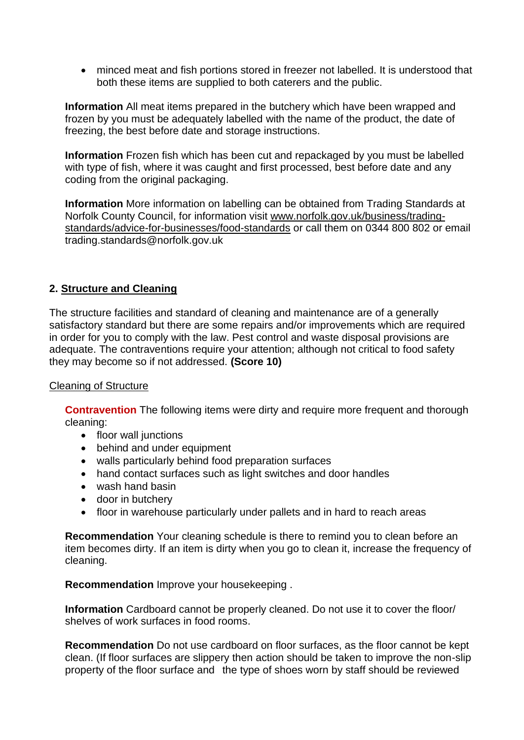• minced meat and fish portions stored in freezer not labelled. It is understood that both these items are supplied to both caterers and the public.

**Information** All meat items prepared in the butchery which have been wrapped and frozen by you must be adequately labelled with the name of the product, the date of freezing, the best before date and storage instructions.

**Information** Frozen fish which has been cut and repackaged by you must be labelled with type of fish, where it was caught and first processed, best before date and any coding from the original packaging.

**Information** More information on labelling can be obtained from Trading Standards at Norfolk County Council, for information visit www.norfolk.gov.uk/business/tradingstandards/advice-for-businesses/food-standards or call them on 0344 800 802 or email trading.standards@norfolk.gov.uk

## **2. Structure and Cleaning**

The structure facilities and standard of cleaning and maintenance are of a generally satisfactory standard but there are some repairs and/or improvements which are required in order for you to comply with the law. Pest control and waste disposal provisions are adequate. The contraventions require your attention; although not critical to food safety they may become so if not addressed. **(Score 10)**

#### Cleaning of Structure

**Contravention** The following items were dirty and require more frequent and thorough cleaning:

- floor wall junctions
- behind and under equipment
- walls particularly behind food preparation surfaces
- hand contact surfaces such as light switches and door handles
- wash hand basin
- door in butchery
- floor in warehouse particularly under pallets and in hard to reach areas

**Recommendation** Your cleaning schedule is there to remind you to clean before an item becomes dirty. If an item is dirty when you go to clean it, increase the frequency of cleaning.

**Recommendation** Improve your housekeeping .

**Information** Cardboard cannot be properly cleaned. Do not use it to cover the floor/ shelves of work surfaces in food rooms.

**Recommendation** Do not use cardboard on floor surfaces, as the floor cannot be kept clean. (If floor surfaces are slippery then action should be taken to improve the non-slip property of the floor surface and the type of shoes worn by staff should be reviewed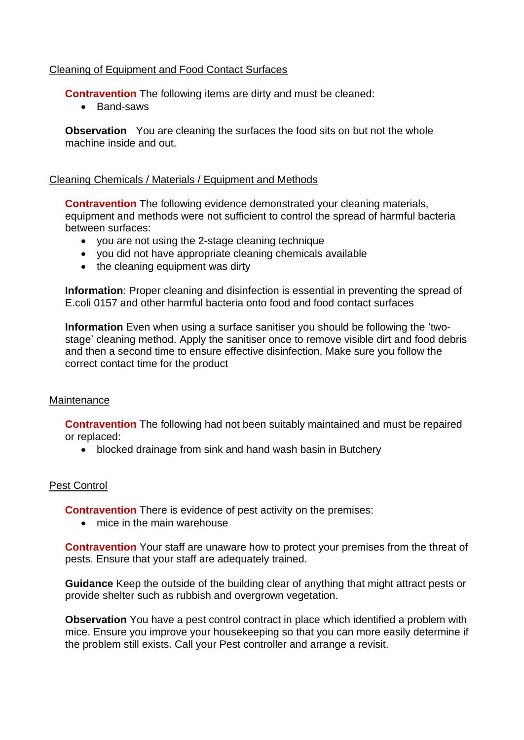## Cleaning of Equipment and Food Contact Surfaces

**Contravention** The following items are dirty and must be cleaned:

• Band-saws

**Observation** You are cleaning the surfaces the food sits on but not the whole machine inside and out.

### Cleaning Chemicals / Materials / Equipment and Methods

**Contravention** The following evidence demonstrated your cleaning materials, equipment and methods were not sufficient to control the spread of harmful bacteria between surfaces:

- you are not using the 2-stage cleaning technique
- you did not have appropriate cleaning chemicals available
- the cleaning equipment was dirty

**Information**: Proper cleaning and disinfection is essential in preventing the spread of E.coli 0157 and other harmful bacteria onto food and food contact surfaces

**Information** Even when using a surface sanitiser you should be following the 'twostage' cleaning method. Apply the sanitiser once to remove visible dirt and food debris and then a second time to ensure effective disinfection. Make sure you follow the correct contact time for the product

#### **Maintenance**

**Contravention** The following had not been suitably maintained and must be repaired or replaced:

• blocked drainage from sink and hand wash basin in Butchery

## Pest Control

**Contravention** There is evidence of pest activity on the premises:

• mice in the main warehouse

**Contravention** Your staff are unaware how to protect your premises from the threat of pests. Ensure that your staff are adequately trained.

**Guidance** Keep the outside of the building clear of anything that might attract pests or provide shelter such as rubbish and overgrown vegetation.

**Observation** You have a pest control contract in place which identified a problem with mice. Ensure you improve your housekeeping so that you can more easily determine if the problem still exists. Call your Pest controller and arrange a revisit.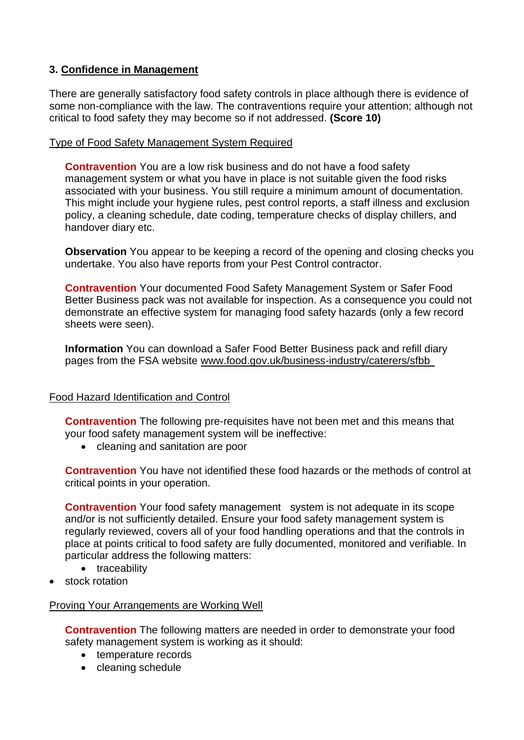## **3. Confidence in Management**

There are generally satisfactory food safety controls in place although there is evidence of some non-compliance with the law. The contraventions require your attention; although not critical to food safety they may become so if not addressed. **(Score 10)**

## Type of Food Safety Management System Required

**Contravention** You are a low risk business and do not have a food safety management system or what you have in place is not suitable given the food risks associated with your business. You still require a minimum amount of documentation. This might include your hygiene rules, pest control reports, a staff illness and exclusion policy, a cleaning schedule, date coding, temperature checks of display chillers, and handover diary etc.

**Observation** You appear to be keeping a record of the opening and closing checks you undertake. You also have reports from your Pest Control contractor.

**Contravention** Your documented Food Safety Management System or Safer Food Better Business pack was not available for inspection. As a consequence you could not demonstrate an effective system for managing food safety hazards (only a few record sheets were seen).

**Information** You can download a Safer Food Better Business pack and refill diary pages from the FSA website www.food.gov.uk/business-industry/caterers/sfbb

## Food Hazard Identification and Control

**Contravention** The following pre-requisites have not been met and this means that your food safety management system will be ineffective:

• cleaning and sanitation are poor

**Contravention** You have not identified these food hazards or the methods of control at critical points in your operation.

**Contravention** Your food safety management system is not adequate in its scope and/or is not sufficiently detailed. Ensure your food safety management system is regularly reviewed, covers all of your food handling operations and that the controls in place at points critical to food safety are fully documented, monitored and verifiable. In particular address the following matters:

- traceability
- stock rotation

## Proving Your Arrangements are Working Well

**Contravention** The following matters are needed in order to demonstrate your food safety management system is working as it should:

- temperature records
- cleaning schedule